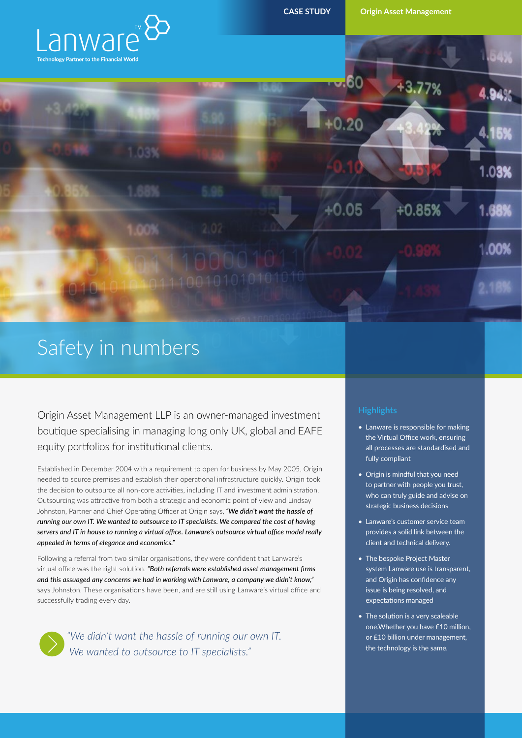

 $+0.20$ 

**CASE STUDY Origin Asset Management**

 $-13.77%$ 

 $1.03%$ 

ററഴ





# Safety in numbers

Origin Asset Management LLP is an owner-managed investment boutique specialising in managing long only UK, global and EAFE equity portfolios for institutional clients.

Established in December 2004 with a requirement to open for business by May 2005, Origin needed to source premises and establish their operational infrastructure quickly. Origin took the decision to outsource all non-core activities, including IT and investment administration. Outsourcing was attractive from both a strategic and economic point of view and Lindsay Johnston, Partner and Chief Operating Officer at Origin says, *"We didn't want the hassle of running our own IT. We wanted to outsource to IT specialists. We compared the cost of having servers and IT in house to running a virtual office. Lanware's outsource virtual office model really appealed in terms of elegance and economics."*

Following a referral from two similar organisations, they were confident that Lanware's virtual office was the right solution. *"Both referrals were established asset management firms and this assuaged any concerns we had in working with Lanware, a company we didn't know,"* says Johnston. These organisations have been, and are still using Lanware's virtual office and successfully trading every day.



*"We didn't want the hassle of running our own IT. We wanted to outsource to IT specialists."*

- Lanware is responsible for making the Virtual Office work, ensuring all processes are standardised and fully compliant
- Origin is mindful that you need to partner with people you trust, who can truly guide and advise on strategic business decisions
- Lanware's customer service team provides a solid link between the client and technical delivery.
- The bespoke Project Master system Lanware use is transparent, and Origin has confidence any issue is being resolved, and expectations managed
- The solution is a very scaleable one.Whether you have £10 million, or £10 billion under management, the technology is the same.